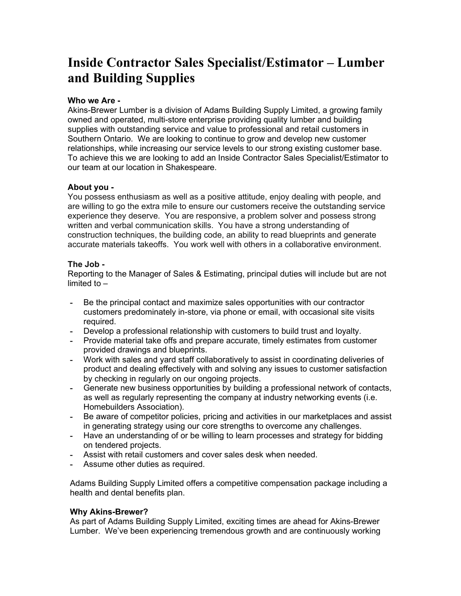# Inside Contractor Sales Specialist/Estimator – Lumber and Building Supplies

## Who we Are -

Akins-Brewer Lumber is a division of Adams Building Supply Limited, a growing family owned and operated, multi-store enterprise providing quality lumber and building supplies with outstanding service and value to professional and retail customers in Southern Ontario. We are looking to continue to grow and develop new customer relationships, while increasing our service levels to our strong existing customer base. To achieve this we are looking to add an Inside Contractor Sales Specialist/Estimator to our team at our location in Shakespeare.

### About you -

You possess enthusiasm as well as a positive attitude, enjoy dealing with people, and are willing to go the extra mile to ensure our customers receive the outstanding service experience they deserve. You are responsive, a problem solver and possess strong written and verbal communication skills. You have a strong understanding of construction techniques, the building code, an ability to read blueprints and generate accurate materials takeoffs. You work well with others in a collaborative environment.

#### The Job -

Reporting to the Manager of Sales & Estimating, principal duties will include but are not limited to –

- Be the principal contact and maximize sales opportunities with our contractor customers predominately in-store, via phone or email, with occasional site visits required.
- Develop a professional relationship with customers to build trust and loyalty.
- Provide material take offs and prepare accurate, timely estimates from customer provided drawings and blueprints.
- Work with sales and yard staff collaboratively to assist in coordinating deliveries of product and dealing effectively with and solving any issues to customer satisfaction by checking in regularly on our ongoing projects.
- Generate new business opportunities by building a professional network of contacts, as well as regularly representing the company at industry networking events (i.e. Homebuilders Association).
- Be aware of competitor policies, pricing and activities in our marketplaces and assist in generating strategy using our core strengths to overcome any challenges.
- Have an understanding of or be willing to learn processes and strategy for bidding on tendered projects.
- Assist with retail customers and cover sales desk when needed.
- Assume other duties as required.

Adams Building Supply Limited offers a competitive compensation package including a health and dental benefits plan.

### Why Akins-Brewer?

As part of Adams Building Supply Limited, exciting times are ahead for Akins-Brewer Lumber. We've been experiencing tremendous growth and are continuously working